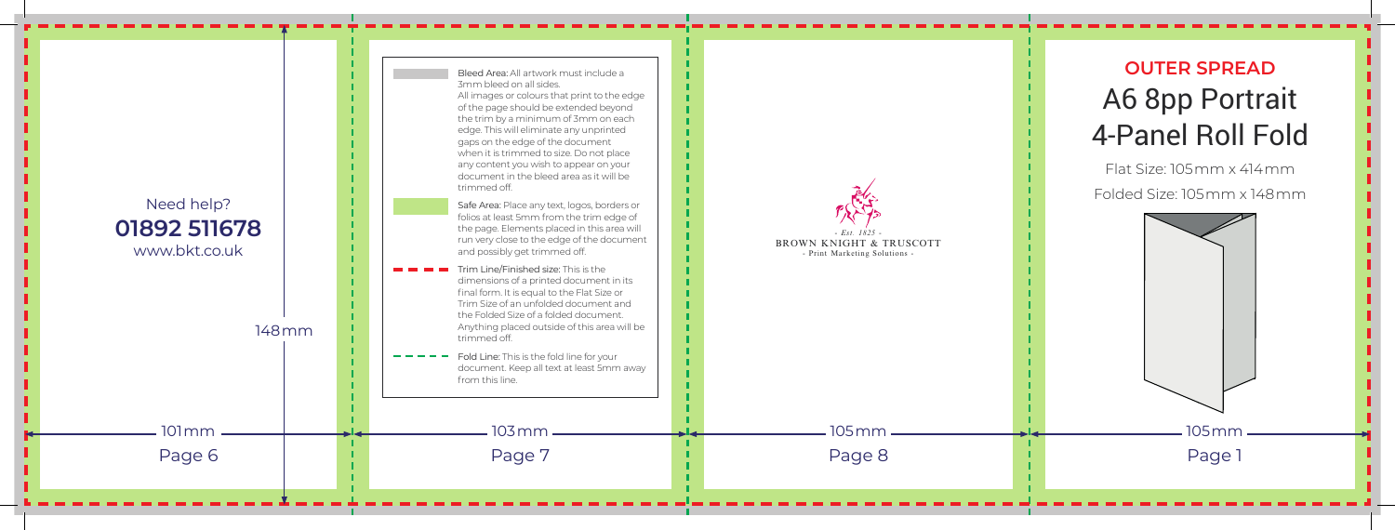

## **OUTER SPREAD** A6 8pp Portrait 4-Panel Roll Fold

Flat Size: 105mm x 414mm Folded Size: 105mm x 148mm